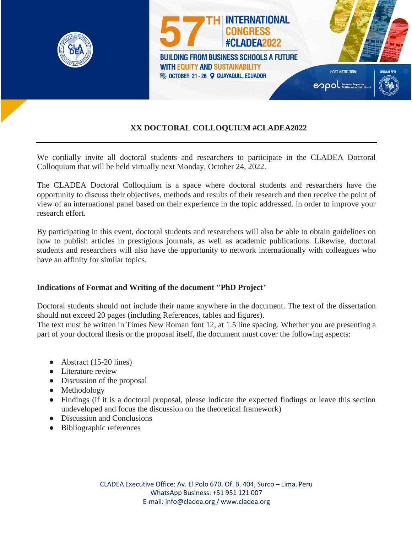

## **XX DOCTORAL COLLOQUIUM #CLADEA2022**

We cordially invite all doctoral students and researchers to participate in the CLADEA Doctoral Colloquium that will be held virtually next Monday, October 24, 2022.

The CLADEA Doctoral Colloquium is a space where doctoral students and researchers have the opportunity to discuss their objectives, methods and results of their research and then receive the point of view of an international panel based on their experience in the topic addressed. in order to improve your research effort.

By participating in this event, doctoral students and researchers will also be able to obtain guidelines on how to publish articles in prestigious journals, as well as academic publications. Likewise, doctoral students and researchers will also have the opportunity to network internationally with colleagues who have an affinity for similar topics.

#### **Indications of Format and Writing of the document "PhD Project"**

Doctoral students should not include their name anywhere in the document. The text of the dissertation should not exceed 20 pages (including References, tables and figures).

The text must be written in Times New Roman font 12, at 1.5 line spacing. Whether you are presenting a part of your doctoral thesis or the proposal itself, the document must cover the following aspects:

- $\bullet$  Abstract (15-20 lines)
- Literature review
- Discussion of the proposal
- Methodology
- Findings (if it is a doctoral proposal, please indicate the expected findings or leave this section undeveloped and focus the discussion on the theoretical framework)
- Discussion and Conclusions
- Bibliographic references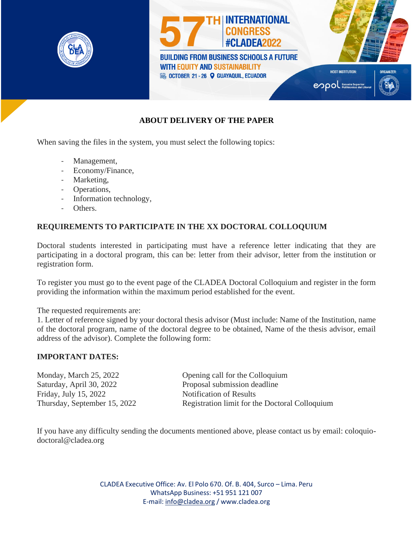

# **ABOUT DELIVERY OF THE PAPER**

When saving the files in the system, you must select the following topics:

- Management,
- Economy/Finance,
- Marketing,
- Operations,
- Information technology,
- Others.

### **REQUIREMENTS TO PARTICIPATE IN THE XX DOCTORAL COLLOQUIUM**

Doctoral students interested in participating must have a reference letter indicating that they are participating in a doctoral program, this can be: letter from their advisor, letter from the institution or registration form.

To register you must go to the event page of the CLADEA Doctoral Colloquium and register in the form providing the information within the maximum period established for the event.

The requested requirements are:

1. Letter of reference signed by your doctoral thesis advisor (Must include: Name of the Institution, name of the doctoral program, name of the doctoral degree to be obtained, Name of the thesis advisor, email address of the advisor). Complete the following form:

### **IMPORTANT DATES:**

Saturday, April 30, 2022 Proposal submission deadline Friday, July 15, 2022 Notification of Results

Monday, March 25, 2022 Opening call for the Colloquium Thursday, September 15, 2022 Registration limit for the Doctoral Colloquium

If you have any difficulty sending the documents mentioned above, please contact us by email: coloquiodoctoral@cladea.org

> CLADEA Executive Office: Av. El Polo 670. Of. B. 404, Surco – Lima. Peru WhatsApp Business: +51 951 121 007 E-mail: [info@cladea.org](mailto:info@cladea.org) / [www.cladea.org](http://www.cladea.org/)